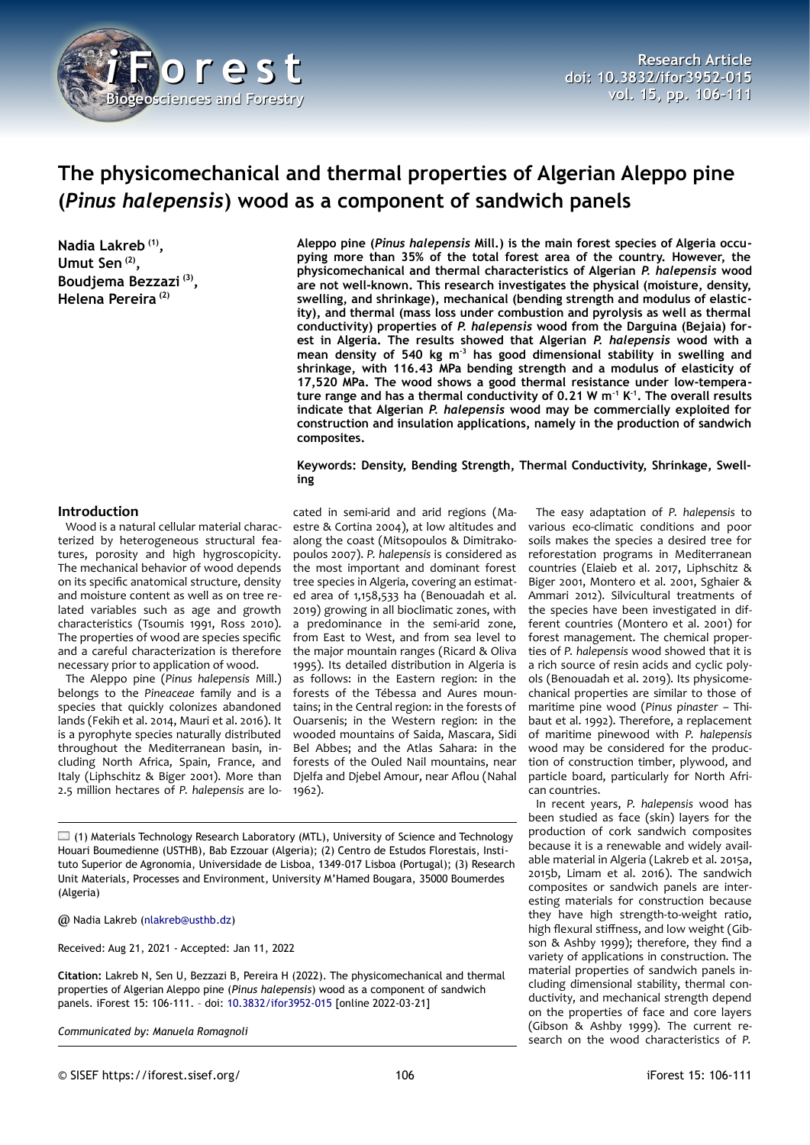

# **The physicomechanical and thermal properties of Algerian Aleppo pine (***Pinus halepensis***) wood as a component of sandwich panels**

**Nadia Lakreb (1) , Umut Sen (2) , Boudjema Bezzazi (3) , Helena Pereira (2)**

**Aleppo pine (***Pinus halepensis* **Mill.) is the main forest species of Algeria occupying more than 35% of the total forest area of the country. However, the physicomechanical and thermal characteristics of Algerian** *P. halepensis* **wood are not well-known. This research investigates the physical (moisture, density, swelling, and shrinkage), mechanical (bending strength and modulus of elasticity), and thermal (mass loss under combustion and pyrolysis as well as thermal conductivity) properties of** *P. halepensis* **wood from the Darguina (Bejaia) forest in Algeria. The results showed that Algerian** *P. halepensis* **wood with a mean density of 540 kg m-3 has good dimensional stability in swelling and shrinkage, with 116.43 MPa bending strength and a modulus of elasticity of 17,520 MPa. The wood shows a good thermal resistance under low-temperature range and has a thermal conductivity of 0.21 W m-1 K-1. The overall results indicate that Algerian** *P. halepensis* **wood may be commercially exploited for construction and insulation applications, namely in the production of sandwich composites.**

### **Keywords: Density, Bending Strength, Thermal Conductivity, Shrinkage, Swelling**

### **Introduction**

Wood is a natural cellular material characterized by heterogeneous structural features, porosity and high hygroscopicity. The mechanical behavior of wood depends on its specific anatomical structure, density and moisture content as well as on tree related variables such as age and growth characteristics (Tsoumis 1991, Ross 2010). The properties of wood are species specific and a careful characterization is therefore necessary prior to application of wood.

The Aleppo pine (*Pinus halepensis* Mill.) belongs to the *Pineaceae* family and is a species that quickly colonizes abandoned lands (Fekih et al. 2014, Mauri et al. 2016). It is a pyrophyte species naturally distributed throughout the Mediterranean basin, including North Africa, Spain, France, and Italy (Liphschitz & Biger 2001). More than 2.5 million hectares of *P. halepensis* are lo-

cated in semi-arid and arid regions (Maestre & Cortina 2004), at low altitudes and along the coast (Mitsopoulos & Dimitrakopoulos 2007). *P. halepensis* is considered as the most important and dominant forest tree species in Algeria, covering an estimated area of 1,158,533 ha (Benouadah et al. 2019) growing in all bioclimatic zones, with a predominance in the semi-arid zone, from East to West, and from sea level to the major mountain ranges (Ricard & Oliva 1995). Its detailed distribution in Algeria is as follows: in the Eastern region: in the forests of the Tébessa and Aures mountains; in the Central region: in the forests of Ouarsenis; in the Western region: in the wooded mountains of Saida, Mascara, Sidi Bel Abbes; and the Atlas Sahara: in the forests of the Ouled Nail mountains, near Djelfa and Djebel Amour, near Aflou (Nahal 1962).

 $\Box$  (1) Materials Technology Research Laboratory (MTL), University of Science and Technology Houari Boumedienne (USTHB), Bab Ezzouar (Algeria); (2) Centro de Estudos Florestais, Instituto Superior de Agronomia, Universidade de Lisboa, 1349-017 Lisboa (Portugal); (3) Research Unit Materials, Processes and Environment, University M'Hamed Bougara, 35000 Boumerdes (Algeria)

@ Nadia Lakreb [\(nlakreb@usthb.dz](mailto:nlakreb@usthb.dz))

Received: Aug 21, 2021 - Accepted: Jan 11, 2022

**Citation:** Lakreb N, Sen U, Bezzazi B, Pereira H (2022). The physicomechanical and thermal properties of Algerian Aleppo pine (*Pinus halepensis*) wood as a component of sandwich panels. iForest 15: 106-111. – doi: [10.3832/ifor3952-015](http://www.sisef.it/iforest/contents/?id=ifor3952-015) [online 2022-03-21]

*Communicated by: Manuela Romagnoli*

The easy adaptation of *P. halepensis* to various eco-climatic conditions and poor soils makes the species a desired tree for reforestation programs in Mediterranean countries (Elaieb et al. 2017, Liphschitz & Biger 2001, Montero et al. 2001, Sghaier & Ammari 2012). Silvicultural treatments of the species have been investigated in different countries (Montero et al. 2001) for forest management. The chemical properties of *P. halepensis* wood showed that it is a rich source of resin acids and cyclic polyols (Benouadah et al. 2019). Its physicomechanical properties are similar to those of maritime pine wood (*Pinus pinaster –* Thibaut et al. 1992). Therefore, a replacement of maritime pinewood with *P. halepensis* wood may be considered for the production of construction timber, plywood, and particle board, particularly for North African countries.

In recent years, *P. halepensis* wood has been studied as face (skin) layers for the production of cork sandwich composites because it is a renewable and widely available material in Algeria (Lakreb et al. 2015a, 2015b, Limam et al. 2016). The sandwich composites or sandwich panels are interesting materials for construction because they have high strength-to-weight ratio, high flexural stiffness, and low weight (Gibson & Ashby 1999); therefore, they find a variety of applications in construction. The material properties of sandwich panels including dimensional stability, thermal conductivity, and mechanical strength depend on the properties of face and core layers (Gibson & Ashby 1999). The current research on the wood characteristics of *P.*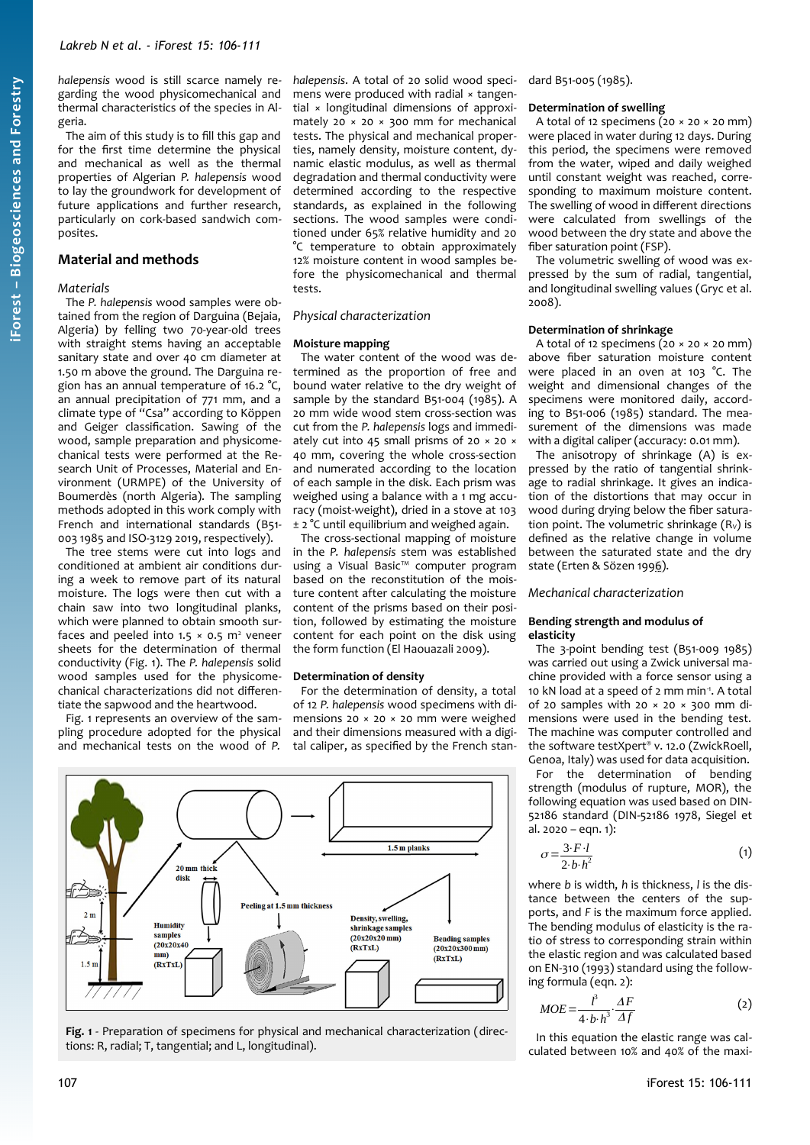*halepensis* wood is still scarce namely regarding the wood physicomechanical and thermal characteristics of the species in Algeria.

The aim of this study is to fill this gap and for the first time determine the physical and mechanical as well as the thermal properties of Algerian *P. halepensis* wood to lay the groundwork for development of future applications and further research, particularly on cork-based sandwich composites.

### **Material and methods**

### *Materials*

The *P. halepensis* wood samples were obtained from the region of Darguina (Bejaia, Algeria) by felling two 70-year-old trees with straight stems having an acceptable sanitary state and over 40 cm diameter at 1.50 m above the ground. The Darguina region has an annual temperature of 16.2 °C, an annual precipitation of 771 mm, and a climate type of "Csa" according to Köppen and Geiger classification. Sawing of the wood, sample preparation and physicomechanical tests were performed at the Research Unit of Processes, Material and Environment (URMPE) of the University of Boumerdès (north Algeria). The sampling methods adopted in this work comply with French and international standards (B51- 003 1985 and ISO-3129 2019, respectively).

The tree stems were cut into logs and conditioned at ambient air conditions during a week to remove part of its natural moisture. The logs were then cut with a chain saw into two longitudinal planks, which were planned to obtain smooth surfaces and peeled into  $1.5 \times 0.5$  m<sup>2</sup> veneer sheets for the determination of thermal conductivity [\(Fig. 1](#page-1-0)). The *P. halepensis* solid wood samples used for the physicomechanical characterizations did not differentiate the sapwood and the heartwood.

[Fig. 1](#page-1-0) represents an overview of the sampling procedure adopted for the physical and mechanical tests on the wood of *P.* *halepensis*. A total of 20 solid wood specimens were produced with radial × tangential × longitudinal dimensions of approximately 20  $\times$  20  $\times$  300 mm for mechanical tests. The physical and mechanical properties, namely density, moisture content, dynamic elastic modulus, as well as thermal degradation and thermal conductivity were determined according to the respective standards, as explained in the following sections. The wood samples were conditioned under 65% relative humidity and 20 °C temperature to obtain approximately 12% moisture content in wood samples before the physicomechanical and thermal tests.

#### *Physical characterization*

#### **Moisture mapping**

The water content of the wood was determined as the proportion of free and bound water relative to the dry weight of sample by the standard B51-004 (1985). A 20 mm wide wood stem cross-section was cut from the *P. halepensis* logs and immediately cut into 45 small prisms of 20 × 20 × 40 mm, covering the whole cross-section and numerated according to the location of each sample in the disk. Each prism was weighed using a balance with a 1 mg accuracy (moist-weight), dried in a stove at 103 ± 2 °C until equilibrium and weighed again.

The cross-sectional mapping of moisture in the *P. halepensis* stem was established using a Visual Basic™ computer program based on the reconstitution of the moisture content after calculating the moisture content of the prisms based on their position, followed by estimating the moisture content for each point on the disk using the form function (El Haouazali 2009).

### **Determination of density**

For the determination of density, a total of 12 *P. halepensis* wood specimens with dimensions 20 × 20 × 20 mm were weighed and their dimensions measured with a digital caliper, as specified by the French stan-



<span id="page-1-0"></span>**Fig. 1** - Preparation of specimens for physical and mechanical characterization (directions: R, radial; T, tangential; and L, longitudinal).

dard B51-005 (1985).

#### **Determination of swelling**

A total of 12 specimens  $(20 \times 20 \times 20 \text{ mm})$ were placed in water during 12 days. During this period, the specimens were removed from the water, wiped and daily weighed until constant weight was reached, corresponding to maximum moisture content. The swelling of wood in different directions were calculated from swellings of the wood between the dry state and above the fiber saturation point (FSP).

The volumetric swelling of wood was expressed by the sum of radial, tangential, and longitudinal swelling values (Gryc et al. 2008).

#### **Determination of shrinkage**

A total of 12 specimens  $(20 \times 20 \times 20 \text{ mm})$ above fiber saturation moisture content were placed in an oven at 103 °C. The weight and dimensional changes of the specimens were monitored daily, according to B51-006 (1985) standard. The measurement of the dimensions was made with a digital caliper (accuracy: 0.01 mm).

The anisotropy of shrinkage (A) is expressed by the ratio of tangential shrinkage to radial shrinkage. It gives an indication of the distortions that may occur in wood during drying below the fiber saturation point. The volumetric shrinkage  $(R_v)$  is defined as the relative change in volume between the saturated state and the dry state (Erten & Sözen 1996).

#### *Mechanical characterization*

#### **Bending strength and modulus of elasticity**

The 3-point bending test (B51-009 1985) was carried out using a Zwick universal machine provided with a force sensor using a 10 kN load at a speed of 2 mm min-1. A total of 20 samples with 20  $\times$  20  $\times$  300 mm dimensions were used in the bending test. The machine was computer controlled and the software testXpert® v. 12.0 (ZwickRoell, Genoa, Italy) was used for data acquisition.

For the determination of bending strength (modulus of rupture, MOR), the following equation was used based on DIN-52186 standard (DIN-52186 1978, Siegel et  $al. 2020 - e$ qn. 1):

$$
\sigma = \frac{3 \cdot F \cdot l}{2 \cdot b \cdot h^2} \tag{1}
$$

where *b* is width, *h* is thickness, *l* is the distance between the centers of the supports, and *F* is the maximum force applied. The bending modulus of elasticity is the ratio of stress to corresponding strain within the elastic region and was calculated based on EN-310 (1993) standard using the following formula (eqn. 2):

$$
MOE = \frac{l^3}{4 \cdot b \cdot h^3} \cdot \frac{\Delta F}{\Delta f}
$$
 (2)

In this equation the elastic range was calculated between 10% and 40% of the maxi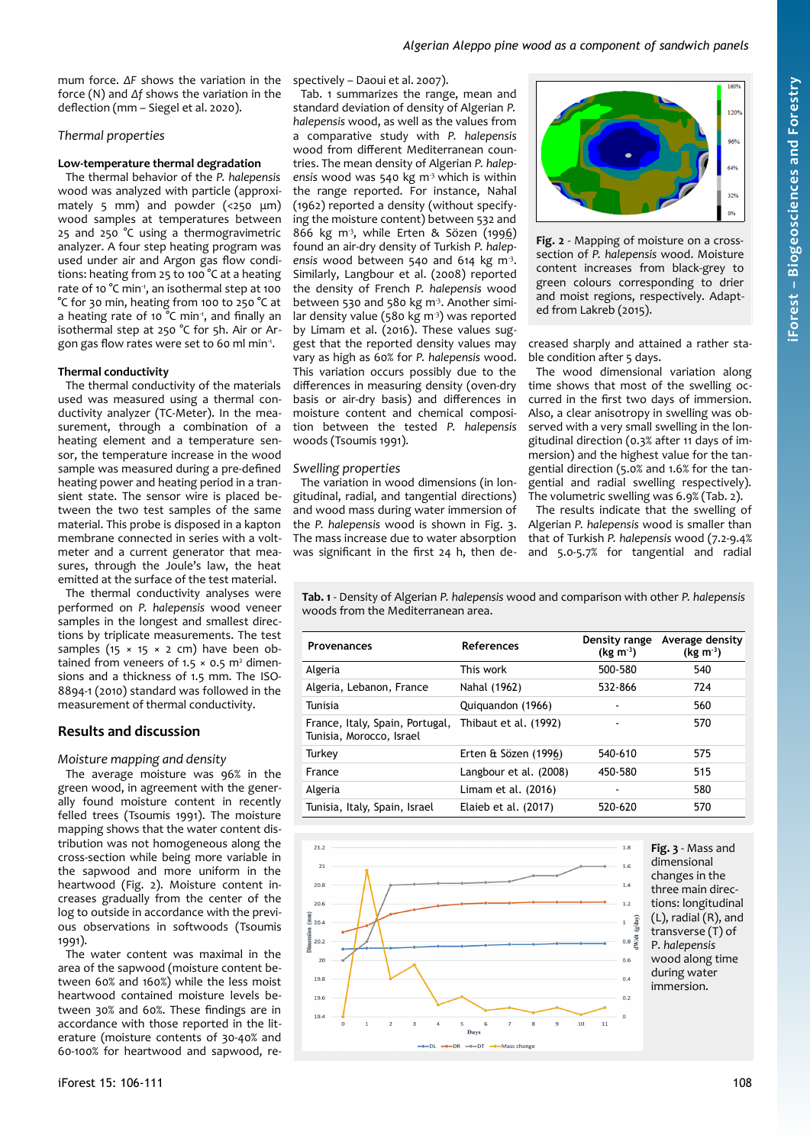mum force. *ΔF* shows the variation in the force (N) and *Δf* shows the variation in the deflection (mm – Siegel et al. 2020).

# *Thermal properties*

## **Low-temperature thermal degradation**

The thermal behavior of the *P. halepensis* wood was analyzed with particle (approximately 5 mm) and powder (<250 μm) wood samples at temperatures between 25 and 250 °C using a thermogravimetric analyzer. A four step heating program was used under air and Argon gas flow conditions: heating from 25 to 100 °C at a heating rate of 10 °C min<sup>1</sup>, an isothermal step at 100 °C for 30 min, heating from 100 to 250 °C at a heating rate of 10  $^{\circ}$ C min<sup>-1</sup>, and finally an isothermal step at 250 °C for 5h. Air or Argon gas flow rates were set to 60 ml min-1 .

# **Thermal conductivity**

The thermal conductivity of the materials used was measured using a thermal conductivity analyzer (TC-Meter). In the measurement, through a combination of a heating element and a temperature sensor, the temperature increase in the wood sample was measured during a pre-defined heating power and heating period in a transient state. The sensor wire is placed between the two test samples of the same material. This probe is disposed in a kapton membrane connected in series with a voltmeter and a current generator that measures, through the Joule's law, the heat emitted at the surface of the test material.

The thermal conductivity analyses were performed on *P. halepensis* wood veneer samples in the longest and smallest directions by triplicate measurements. The test samples (15  $\times$  15  $\times$  2 cm) have been obtained from veneers of  $1.5 \times 0.5$  m<sup>2</sup> dimensions and a thickness of 1.5 mm. The ISO-8894-1 (2010) standard was followed in the measurement of thermal conductivity.

# **Results and discussion**

### *Moisture mapping and density*

The average moisture was 96% in the green wood, in agreement with the generally found moisture content in recently felled trees (Tsoumis 1991). The moisture mapping shows that the water content distribution was not homogeneous along the cross-section while being more variable in the sapwood and more uniform in the heartwood [\(Fig. 2\)](#page-2-2). Moisture content increases gradually from the center of the log to outside in accordance with the previous observations in softwoods (Tsoumis 1991).

The water content was maximal in the area of the sapwood (moisture content between 60% and 160%) while the less moist heartwood contained moisture levels between 30% and 60%. These findings are in accordance with those reported in the literature (moisture contents of 30-40% and 60-100% for heartwood and sapwood, respectively – Daoui et al. 2007).

[Tab. 1](#page-2-1) summarizes the range, mean and standard deviation of density of Algerian *P. halepensis* wood, as well as the values from a comparative study with *P. halepensis* wood from different Mediterranean countries. The mean density of Algerian *P. halepensis* wood was 540 kg m-3 which is within the range reported. For instance, Nahal (1962) reported a density (without specifying the moisture content) between 532 and 866 kg m<sup>3</sup>, while Erten & Sözen (1996) found an air-dry density of Turkish *P. halep*ensis wood between 540 and 614 kg m<sup>3</sup>. Similarly, Langbour et al. (2008) reported the density of French *P. halepensis* wood between 530 and 580 kg m<sup>3</sup>. Another similar density value (580 kg  $m<sup>3</sup>$ ) was reported by Limam et al. (2016). These values suggest that the reported density values may vary as high as 60% for *P. halepensis* wood. This variation occurs possibly due to the differences in measuring density (oven-dry basis or air-dry basis) and differences in moisture content and chemical composition between the tested *P. halepensis* woods (Tsoumis 1991).

### *Swelling properties*

The variation in wood dimensions (in longitudinal, radial, and tangential directions) and wood mass during water immersion of the *P. halepensis* wood is shown in [Fig. 3.](#page-2-0) The mass increase due to water absorption was significant in the first 24 h, then de-



<span id="page-2-2"></span>**Fig. 2** - Mapping of moisture on a crosssection of *P. halepensis* wood. Moisture content increases from black-grey to green colours corresponding to drier and moist regions, respectively. Adapted from Lakreb (2015).

creased sharply and attained a rather stable condition after 5 days.

The wood dimensional variation along time shows that most of the swelling occurred in the first two days of immersion. Also, a clear anisotropy in swelling was observed with a very small swelling in the longitudinal direction (0.3% after 11 days of immersion) and the highest value for the tangential direction (5.0% and 1.6% for the tangential and radial swelling respectively). The volumetric swelling was 6.9% ([Tab. 2](#page-3-0)).

<span id="page-2-0"></span>The results indicate that the swelling of Algerian *P. halepensis* wood is smaller than that of Turkish *P. halepensis* wood (7.2-9.4% and 5.0-5.7% for tangential and radial

<span id="page-2-1"></span>**Tab. 1** - Density of Algerian *P. halepensis* wood and comparison with other *P. halepensis* woods from the Mediterranean area.

| <b>Provenances</b>                                          | <b>References</b>      | Density range<br>$(kg m-3)$ | Average density<br>$(kg m-3)$ |
|-------------------------------------------------------------|------------------------|-----------------------------|-------------------------------|
| Algeria                                                     | This work              | 500-580                     | 540                           |
| Algeria, Lebanon, France                                    | Nahal (1962)           | 532-866                     | 774                           |
| Tunisia                                                     | Quiquandon (1966)      |                             | 560                           |
| France, Italy, Spain, Portugal,<br>Tunisia, Morocco, Israel | Thibaut et al. (1992)  |                             | 570                           |
| Turkey                                                      | Erten & Sözen (1996)   | 540-610                     | 575                           |
| France                                                      | Langbour et al. (2008) | 450-580                     | 515                           |
| Algeria                                                     | Limam et al. (2016)    |                             | 580                           |
| Tunisia, Italy, Spain, Israel                               | Elaieb et al. (2017)   | 520-620                     | 570                           |

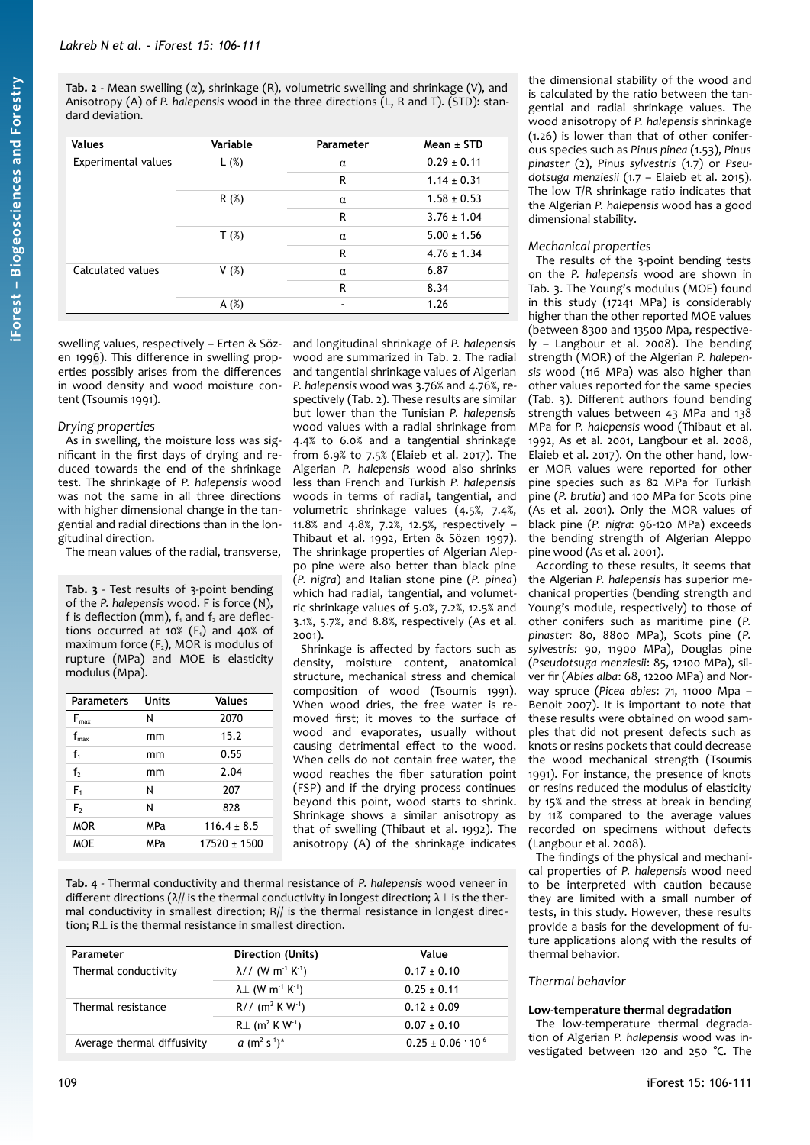<span id="page-3-0"></span>**Tab. 2** - Mean swelling (*α*), shrinkage (R), volumetric swelling and shrinkage (V), and Anisotropy (A) of *P. halepensis* wood in the three directions (L, R and T). (STD): standard deviation.

| <b>Values</b>              | Variable | Parameter | $Mean + STD$    |
|----------------------------|----------|-----------|-----------------|
| <b>Experimental values</b> | L(%)     | $\alpha$  | $0.29 \pm 0.11$ |
|                            |          | R         | $1.14 \pm 0.31$ |
|                            | R(%)     | $\alpha$  | $1.58 \pm 0.53$ |
|                            |          | R         | $3.76 \pm 1.04$ |
|                            | $T(\%)$  | $\alpha$  | $5.00 \pm 1.56$ |
|                            |          | R         | $4.76 \pm 1.34$ |
| Calculated values          | V(%)     | $\alpha$  | 6.87            |
|                            |          | R         | 8.34            |
|                            | A $(%)$  |           | 1.26            |

swelling values, respectively – Erten & Sözen 1996). This difference in swelling properties possibly arises from the differences in wood density and wood moisture content (Tsoumis 1991).

### *Drying properties*

As in swelling, the moisture loss was significant in the first days of drying and reduced towards the end of the shrinkage test. The shrinkage of *P. halepensis* wood was not the same in all three directions with higher dimensional change in the tangential and radial directions than in the longitudinal direction.

The mean values of the radial, transverse,

<span id="page-3-1"></span>**Tab. 3** - Test results of 3-point bending of the *P. halepensis* wood. F is force (N), f is deflection (mm),  $f_1$  and  $f_2$  are deflections occurred at 10%  $(F_1)$  and 40% of maximum force  $(F_2)$ , MOR is modulus of rupture (MPa) and MOE is elasticity modulus (Mpa).

| <b>Parameters</b> | <b>Units</b> | <b>Values</b>    |
|-------------------|--------------|------------------|
| $F_{\text{max}}$  | Ν            | 2070             |
| $f_{\rm max}$     | mm           | 15.2             |
| $f_1$             | mm           | 0.55             |
| f <sub>2</sub>    | mm           | 7.04             |
| $F_1$             | Ν            | 207              |
| F,                | Ν            | 828              |
| <b>MOR</b>        | MPa          | $116.4 \pm 8.5$  |
| <b>MOE</b>        | MPa          | $17520 \pm 1500$ |

and longitudinal shrinkage of *P. halepensis* wood are summarized in [Tab. 2](#page-3-0). The radial and tangential shrinkage values of Algerian *P. halepensis* wood was 3.76% and 4.76%, respectively ([Tab. 2\)](#page-3-0). These results are similar but lower than the Tunisian *P. halepensis* wood values with a radial shrinkage from 4.4% to 6.0% and a tangential shrinkage from 6.9% to 7.5% (Elaieb et al. 2017). The Algerian *P. halepensis* wood also shrinks less than French and Turkish *P. halepensis* woods in terms of radial, tangential, and volumetric shrinkage values (4.5%, 7.4%, 11.8% and 4.8%, 7.2%, 12.5%, respectively – Thibaut et al. 1992, Erten & Sözen 1997). The shrinkage properties of Algerian Aleppo pine were also better than black pine (*P. nigra*) and Italian stone pine (*P. pinea*) which had radial, tangential, and volumetric shrinkage values of 5.0%, 7.2%, 12.5% and 3.1%, 5.7%, and 8.8%, respectively (As et al. 2001).

Shrinkage is affected by factors such as density, moisture content, anatomical structure, mechanical stress and chemical composition of wood (Tsoumis 1991). When wood dries, the free water is removed first; it moves to the surface of wood and evaporates, usually without causing detrimental effect to the wood. When cells do not contain free water, the wood reaches the fiber saturation point (FSP) and if the drying process continues beyond this point, wood starts to shrink. Shrinkage shows a similar anisotropy as that of swelling (Thibaut et al. 1992). The anisotropy (A) of the shrinkage indicates

<span id="page-3-2"></span>**Tab. 4** - Thermal conductivity and thermal resistance of *P. halepensis* wood veneer in different directions ( $\lambda$ // is the thermal conductivity in longest direction;  $\lambda$   $\bot$  is the thermal conductivity in smallest direction; R// is the thermal resistance in longest direction; R⊥ is the thermal resistance in smallest direction.

| Parameter                   | Direction (Units)                                 | Value                        |
|-----------------------------|---------------------------------------------------|------------------------------|
| Thermal conductivity        | $\lambda$ // (W m <sup>-1</sup> K <sup>-1</sup> ) | $0.17 \pm 0.10$              |
|                             | $\lambda$ (W m <sup>-1</sup> K <sup>-1</sup> )    | $0.25 \pm 0.11$              |
| Thermal resistance          | $R// (m2 K W-1)$                                  | $0.12 \pm 0.09$              |
|                             | $RL(m^2 K W^1)$                                   | $0.07 \pm 0.10$              |
| Average thermal diffusivity | $a (m2 s-1)*$                                     | $0.25 \pm 0.06 \cdot 10^{6}$ |

the dimensional stability of the wood and is calculated by the ratio between the tangential and radial shrinkage values. The wood anisotropy of *P. halepensis* shrinkage (1.26) is lower than that of other coniferous species such as *Pinus pinea* (1.53), *Pinus pinaster* (2), *Pinus sylvestris* (1.7) or *Pseudotsuga menziesii* (1.7 – Elaieb et al. 2015). The low T/R shrinkage ratio indicates that the Algerian *P. halepensis* wood has a good dimensional stability.

### *Mechanical properties*

The results of the 3-point bending tests on the *P. halepensis* wood are shown in [Tab. 3.](#page-3-1) The Young's modulus (MOE) found in this study (17241 MPa) is considerably higher than the other reported MOE values (between 8300 and 13500 Mpa, respectively – Langbour et al. 2008). The bending strength (MOR) of the Algerian *P. halepensis* wood (116 MPa) was also higher than other values reported for the same species [\(Tab. 3\)](#page-3-1). Different authors found bending strength values between 43 MPa and 138 MPa for *P. halepensis* wood (Thibaut et al. 1992, As et al. 2001, Langbour et al. 2008, Elaieb et al. 2017). On the other hand, lower MOR values were reported for other pine species such as 82 MPa for Turkish pine (*P. brutia*) and 100 MPa for Scots pine (As et al. 2001). Only the MOR values of black pine (*P. nigra*: 96-120 MPa) exceeds the bending strength of Algerian Aleppo pine wood (As et al. 2001).

According to these results, it seems that the Algerian *P. halepensis* has superior mechanical properties (bending strength and Young's module, respectively) to those of other conifers such as maritime pine (*P. pinaster:* 80, 8800 MPa), Scots pine (*P. sylvestris:* 90, 11900 MPa), Douglas pine (*Pseudotsuga menziesii*: 85, 12100 MPa), silver fir (*Abies alba*: 68, 12200 MPa) and Norway spruce (*Picea abies*: 71, 11000 Mpa – Benoit 2007). It is important to note that these results were obtained on wood samples that did not present defects such as knots or resins pockets that could decrease the wood mechanical strength (Tsoumis 1991). For instance, the presence of knots or resins reduced the modulus of elasticity by 15% and the stress at break in bending by 11% compared to the average values recorded on specimens without defects (Langbour et al. 2008).

The findings of the physical and mechanical properties of *P. halepensis* wood need to be interpreted with caution because they are limited with a small number of tests, in this study. However, these results provide a basis for the development of future applications along with the results of thermal behavior.

### *Thermal behavior*

### **Low-temperature thermal degradation**

The low-temperature thermal degradation of Algerian *P. halepensis* wood was investigated between 120 and 250 °C. The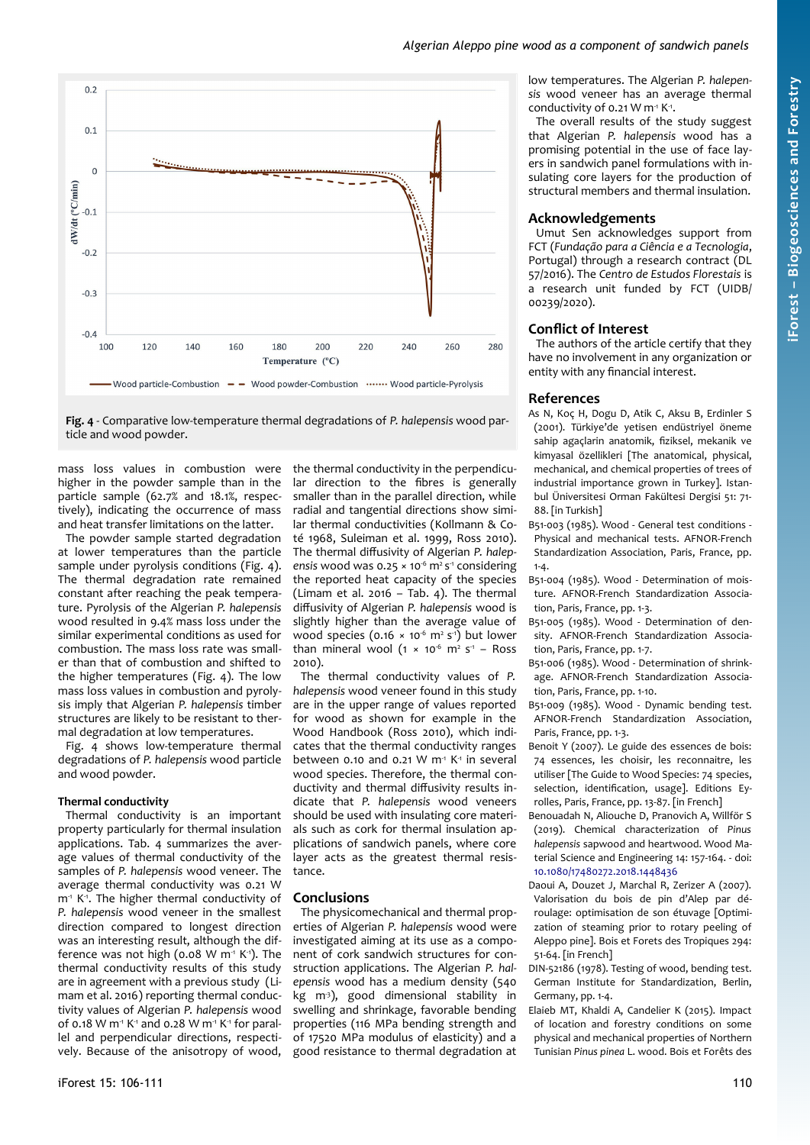

<span id="page-4-0"></span>**Fig. 4** - Comparative low-temperature thermal degradations of *P. halepensis* wood particle and wood powder.

mass loss values in combustion were higher in the powder sample than in the particle sample (62.7% and 18.1%, respectively), indicating the occurrence of mass and heat transfer limitations on the latter.

The powder sample started degradation at lower temperatures than the particle sample under pyrolysis conditions [\(Fig. 4\)](#page-4-0). The thermal degradation rate remained constant after reaching the peak temperature. Pyrolysis of the Algerian *P. halepensis* wood resulted in 9.4% mass loss under the similar experimental conditions as used for combustion. The mass loss rate was smaller than that of combustion and shifted to the higher temperatures ([Fig. 4\)](#page-4-0). The low mass loss values in combustion and pyrolysis imply that Algerian *P. halepensis* timber structures are likely to be resistant to thermal degradation at low temperatures.

[Fig. 4](#page-4-0) shows low-temperature thermal degradations of *P. halepensis* wood particle and wood powder.

# **Thermal conductivity**

Thermal conductivity is an important property particularly for thermal insulation applications. [Tab. 4](#page-3-2) summarizes the average values of thermal conductivity of the samples of *P. halepensis* wood veneer. The average thermal conductivity was 0.21 W  $m<sup>-1</sup>$  K<sup>-1</sup>. The higher thermal conductivity of *P. halepensis* wood veneer in the smallest direction compared to longest direction was an interesting result, although the difference was not high (0.08 W  $m<sup>4</sup>$  K<sup>-1</sup>). The thermal conductivity results of this study are in agreement with a previous study (Limam et al. 2016) reporting thermal conductivity values of Algerian *P. halepensis* wood of 0.18 W m<sup>-1</sup> K<sup>-1</sup> and 0.28 W m<sup>-1</sup> K<sup>-1</sup> for parallel and perpendicular directions, respectively. Because of the anisotropy of wood,

the thermal conductivity in the perpendicular direction to the fibres is generally smaller than in the parallel direction, while radial and tangential directions show similar thermal conductivities (Kollmann & Coté 1968, Suleiman et al. 1999, Ross 2010). The thermal diffusivity of Algerian *P. halep*ensis wood was 0.25  $\times$  10<sup>-6</sup> m<sup>2</sup> s<sup>-1</sup> considering the reported heat capacity of the species (Limam et al. 2016 – [Tab. 4\)](#page-3-2). The thermal diffusivity of Algerian *P. halepensis* wood is slightly higher than the average value of wood species (0.16  $\times$  10<sup>-6</sup> m<sup>2</sup> s<sup>-1</sup>) but lower than mineral wool  $(1 \times 10^{-6} \text{ m}^2 \text{ s}^4 - \text{Ross})$ 2010).

The thermal conductivity values of *P. halepensis* wood veneer found in this study are in the upper range of values reported for wood as shown for example in the Wood Handbook (Ross 2010), which indicates that the thermal conductivity ranges between 0.10 and 0.21 W  $m<sup>1</sup> K<sup>1</sup>$  in several wood species. Therefore, the thermal conductivity and thermal diffusivity results indicate that *P. halepensis* wood veneers should be used with insulating core materials such as cork for thermal insulation applications of sandwich panels, where core layer acts as the greatest thermal resistance.

### **Conclusions**

The physicomechanical and thermal properties of Algerian *P. halepensis* wood were investigated aiming at its use as a component of cork sandwich structures for construction applications. The Algerian *P. halepensis* wood has a medium density (540  $kg$  m<sup>3</sup>), good dimensional stability in swelling and shrinkage, favorable bending properties (116 MPa bending strength and of 17520 MPa modulus of elasticity) and a good resistance to thermal degradation at

low temperatures. The Algerian *P. halepensis* wood veneer has an average thermal conductivity of 0.21 W m<sup>1</sup> K<sup>-1</sup>.

The overall results of the study suggest that Algerian *P. halepensis* wood has a promising potential in the use of face layers in sandwich panel formulations with insulating core layers for the production of structural members and thermal insulation.

### **Acknowledgements**

Umut Sen acknowledges support from FCT (*Fundação para a Ciência e a Tecnologia*, Portugal) through a research contract (DL 57/2016). The *Centro de Estudos Florestais* is a research unit funded by FCT (UIDB/ 00239/2020).

# **Conflict of Interest**

The authors of the article certify that they have no involvement in any organization or entity with any financial interest.

### **References**

- As N, Koç H, Dogu D, Atik C, Aksu B, Erdinler S (2001). Türkiye'de yetisen endüstriyel öneme sahip agaçlarin anatomik, fiziksel, mekanik ve kimyasal özellikleri [The anatomical, physical, mechanical, and chemical properties of trees of industrial importance grown in Turkey]. Istanbul Üniversitesi Orman Fakültesi Dergisi 51: 71- 88. [in Turkish]
- B51-003 (1985). Wood General test conditions Physical and mechanical tests. AFNOR-French Standardization Association, Paris, France, pp. 1-4.
- B51-004 (1985). Wood Determination of moisture. AFNOR-French Standardization Association, Paris, France, pp. 1-3.
- B51-005 (1985). Wood Determination of density. AFNOR-French Standardization Association, Paris, France, pp. 1-7.
- B51-006 (1985). Wood Determination of shrinkage. AFNOR-French Standardization Association, Paris, France, pp. 1-10.
- B51-009 (1985). Wood Dynamic bending test. AFNOR-French Standardization Association, Paris, France, pp. 1-3.
- Benoit Y (2007). Le guide des essences de bois: 74 essences, les choisir, les reconnaitre, les utiliser [The Guide to Wood Species: 74 species, selection, identification, usage]. Editions Eyrolles, Paris, France, pp. 13-87. [in French]
- Benouadah N, Aliouche D, Pranovich A, Willför S (2019). Chemical characterization of *Pinus halepensis* sapwood and heartwood. Wood Material Science and Engineering 14: 157-164. - doi: [10.1080/17480272.2018.1448436](https://doi.org/10.1080/17480272.2018.1448436)
- Daoui A, Douzet J, Marchal R, Zerizer A (2007). Valorisation du bois de pin d'Alep par déroulage: optimisation de son étuvage [Optimization of steaming prior to rotary peeling of Aleppo pine]. Bois et Forets des Tropiques 294: 51-64. [in French]
- DIN-52186 (1978). Testing of wood, bending test. German Institute for Standardization, Berlin, Germany, pp. 1-4.
- Elaieb MT, Khaldi A, Candelier K (2015). Impact of location and forestry conditions on some physical and mechanical properties of Northern Tunisian *Pinus pinea* L. wood. Bois et Forêts des